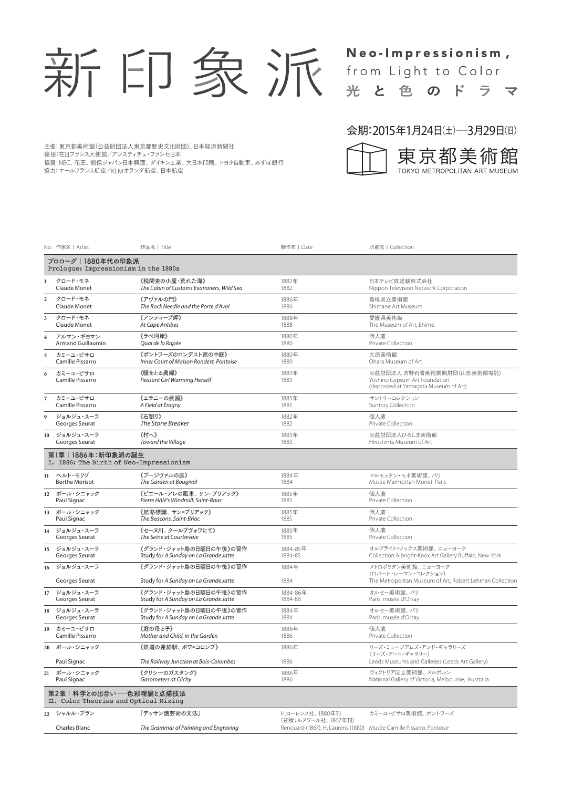

# Neo-Impressionism, from Light to Color 光と色のドラマ

### 主催:東京都美術館(公益財団法人東京都歴史文化財団)、日本経済新聞社

後援:在日フランス大使館/アンスティチュ・フランセ日本

協賛:NEC、花王、損保ジャパン日本興亜、ダイキン工業、大日本印刷、トヨタ自動車、みずほ銀行

協力:エールフランス航空/KLMオランダ航空、日本航空

#### 会期:2015年1月24日(土)―3月29日(日)



|                                                              | No. 作家名 Artist                                                  | 作品名   Title                              | 制作年   Date                                                                                | 所蔵先   Collection                                                                                     |  |
|--------------------------------------------------------------|-----------------------------------------------------------------|------------------------------------------|-------------------------------------------------------------------------------------------|------------------------------------------------------------------------------------------------------|--|
|                                                              | プロローグ   1880年代の印象派<br>Proloque: Impressionism in the 1880s      |                                          |                                                                                           |                                                                                                      |  |
|                                                              | クロード・モネ                                                         | 《税関吏の小屋・荒れた海》                            | 1882年                                                                                     | 日本テレビ放送網株式会社                                                                                         |  |
|                                                              | Claude Monet                                                    | The Cabin of Customs Examiners, Wild Sea | 1882                                                                                      | Nippon Television Network Corporation                                                                |  |
| 2                                                            | クロード・モネ                                                         | 《アヴァルの門》                                 | 1886年                                                                                     | 島根県立美術館                                                                                              |  |
|                                                              | Claude Monet                                                    | The Rock Needle and the Porte d'Aval     | 1886                                                                                      | Shimane Art Museum                                                                                   |  |
| 3                                                            | クロード・モネ                                                         | 《アンティーブ岬》                                | 1888年                                                                                     | 愛媛県美術館                                                                                               |  |
|                                                              | Claude Monet                                                    | At Cape Antibes                          | 1888                                                                                      | The Museum of Art, Ehime                                                                             |  |
| $\overline{\mathbf{4}}$                                      | アルマン・ギヨマン                                                       | 《ラペ河岸》                                   | 1880年                                                                                     | 個人蔵                                                                                                  |  |
|                                                              | <b>Armand Guillaumin</b>                                        | Quai de la Rapée                         | 1880                                                                                      | Private Collection                                                                                   |  |
| 5                                                            | カミーユ・ピサロ                                                        | 《ポントワーズのロンデスト家の中庭》                       | 1880年                                                                                     | 大原美術館                                                                                                |  |
|                                                              | Camille Pissarro                                                | Inner Court of Maison Rondest, Pontoise  | 1880                                                                                      | Ohara Museum of Art                                                                                  |  |
| 6                                                            | カミーユ・ピサロ<br>Camille Pissarro                                    | 《暖をとる農婦》<br>Peasant Girl Warming Herself | 1883年<br>1883                                                                             | 公益財団法人 吉野石膏美術振興財団(山形美術館寄託)<br>Yoshino Gypsum Art Foundation<br>(deposited at Yamagata Museum of Art) |  |
| 7                                                            | カミーユ・ピサロ                                                        | 《エラニーの農園》                                | 1885年                                                                                     | サントリーコレクション                                                                                          |  |
|                                                              | Camille Pissarro                                                | A Field at Éragny                        | 1885                                                                                      | Suntory Collection                                                                                   |  |
| 9                                                            | ジョルジュ・スーラ                                                       | 《石割り》                                    | 1882年                                                                                     | 個人蔵                                                                                                  |  |
|                                                              | Georges Seurat                                                  | The Stone Breaker                        | 1882                                                                                      | Private Collection                                                                                   |  |
| 10                                                           | ジョルジュ・スーラ                                                       | 《村へ》                                     | 1883年                                                                                     | 公益財団法人ひろしま美術館                                                                                        |  |
|                                                              | Georges Seurat                                                  | Toward the Village                       | 1883                                                                                      | Hiroshima Museum of Art                                                                              |  |
| 第1章 1886年:新印象派の誕生<br>I. 1886: The Birth of Neo-Impressionism |                                                                 |                                          |                                                                                           |                                                                                                      |  |
|                                                              | 11 ベルト・モリゾ                                                      | 《ブージヴァルの庭》                               | 1884年                                                                                     | マルモッタン・モネ美術館、パリ                                                                                      |  |
|                                                              | <b>Berthe Morisot</b>                                           | The Garden at Bougival                   | 1884                                                                                      | Musée Marmottan Monet, Paris                                                                         |  |
|                                                              | 12 ポール・シニャック                                                    | 《ピエール・アレの風車、サン=ブリアック》                    | 1885年                                                                                     | 個人蔵                                                                                                  |  |
|                                                              | Paul Signac                                                     | Pierre Hâlé's Windmill, Saint-Briac      | 1885                                                                                      | Private Collection                                                                                   |  |
| 13                                                           | ポール・シニャック                                                       | 《航路標識、サン=ブリアック》                          | 1885年                                                                                     | 個人蔵                                                                                                  |  |
|                                                              | Paul Signac                                                     | The Beacons, Saint-Briac                 | 1885                                                                                      | Private Collection                                                                                   |  |
| 14                                                           | ジョルジュ・スーラ                                                       | 《セーヌ川、クールブヴォワにて》                         | 1885年                                                                                     | 個人蔵                                                                                                  |  |
|                                                              | Georges Seurat                                                  | The Seine at Courbevoie                  | 1885                                                                                      | Private Collection                                                                                   |  |
|                                                              | 15 ジョルジュ・スーラ                                                    | 《グランド・ジャット島の日曜日の午後》の習作                   | 1884-85年                                                                                  | オルブライト=ノックス美術館、ニューヨーク                                                                                |  |
|                                                              | Georges Seurat                                                  | Study for A Sunday on La Grande Jatte    | 1884-85                                                                                   | Collection Albright-Knox Art Gallery Buffalo, New York                                               |  |
| 16                                                           | ジョルジュ・スーラ                                                       | 《グランド・ジャット島の日曜日の午後》の習作                   | 1884年                                                                                     | メトロポリタン美術館、ニューヨーク<br>(ロバート・レーマン・コレクション)                                                              |  |
|                                                              | Georges Seurat                                                  | Study for A Sunday on La Grande Jatte    | 1884                                                                                      | The Metropolitan Museum of Art, Robert Lehman Collection                                             |  |
|                                                              | 17 ジョルジュ・スーラ                                                    | 《グランド・ジャット島の日曜日の午後》の習作                   | 1884-86年                                                                                  | オルセー美術館、パリ                                                                                           |  |
|                                                              | Georges Seurat                                                  | Study for A Sunday on La Grande Jatte    | 1884-86                                                                                   | Paris, musée d'Orsay                                                                                 |  |
| 18                                                           | ジョルジュ・スーラ                                                       | 《グランド・ジャット島の日曜日の午後》の習作                   | 1884年                                                                                     | オルセー美術館、パリ                                                                                           |  |
|                                                              | Georges Seurat                                                  | Study for A Sunday on La Grande Jatte    | 1884                                                                                      | Paris, musée d'Orsay                                                                                 |  |
| 19                                                           | カミーユ・ピサロ                                                        | 《庭の母と子》                                  | 1886年                                                                                     | 個人蔵                                                                                                  |  |
|                                                              | Camille Pissarro                                                | Mother and Child, in the Garden          | 1886                                                                                      | Private Collection                                                                                   |  |
|                                                              | 20 ポール・シニャック                                                    | 《鉄道の連絡駅、 ボワ=コロンブ》                        | 1886年                                                                                     | リーズ・ミュージアムズ・アンド・ギャラリーズ<br>(リーズ・アート・ギャラリー)                                                            |  |
|                                                              | Paul Signac                                                     | The Railway Junction at Bois-Colombes    | 1886                                                                                      | Leeds Museums and Galleries (Leeds Art Gallery)                                                      |  |
|                                                              | 21 ポール・シニャック                                                    | 《クリシーのガスタンク》                             | 1886年                                                                                     | ヴィクトリア国立美術館、メルボルン                                                                                    |  |
|                                                              | Paul Signac                                                     | Gasometers at Clichy                     | 1886                                                                                      | National Gallery of Victoria, Melbourne, Australia                                                   |  |
|                                                              | 第2章│科学との出合い──色彩理論と点描技法<br>II. Color Theories and Optical Mixing |                                          |                                                                                           |                                                                                                      |  |
|                                                              | 22 シャルル・ブラン                                                     | 『デッサン諸芸術の文法』                             | H.ローレンス社、1880年刊                                                                           | カミーユ・ピサロ美術館、ポントワーズ                                                                                   |  |
|                                                              | Charles Blanc                                                   | The Grammar of Painting and Engraving    | (初版:ルヌワール社、1867年刊)<br>Renouard (1867), H. Laurens (1880) Musée Camille Pissarro, Pontoise |                                                                                                      |  |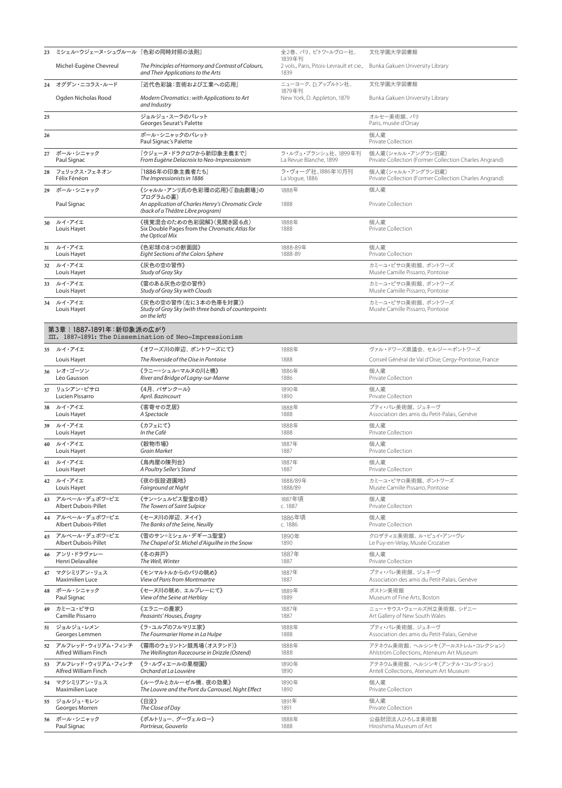| 23 | ミシェル=ウジェーヌ・シュヴルール 『色彩の同時対照の法則』 |                                                                                               | 全2巻、パリ、ピトワ=ルヴロー社、<br>1839年刊                                                      | 文化学園大学図書館                                              |
|----|--------------------------------|-----------------------------------------------------------------------------------------------|----------------------------------------------------------------------------------|--------------------------------------------------------|
|    | Michel-Eugène Chevreul         | The Principles of Harmony and Contrast of Colours,<br>and Their Applications to the Arts      | 2 vols., Paris, Pitois-Levrault et cie., Bunka Gakuen University Library<br>1839 |                                                        |
|    | 24 オグデン・ニコラス・ルード               | 『近代色彩論:芸術および工業への応用』                                                                           | ニューヨーク、D.アップルトン社、<br>1879年刊                                                      | 文化学園大学図書館                                              |
|    | Ogden Nicholas Rood            | Modern Chromatics: with Applications to Art<br>and Industry                                   | New York, D. Appleton, 1879                                                      | Bunka Gakuen University Library                        |
| 25 |                                | ジョルジュ・スーラのパレット<br>Georges Seurat's Palette                                                    |                                                                                  | オルセー美術館、パリ<br>Paris, musée d'Orsay                     |
| 26 |                                | ポール・シニャックのパレット<br>Paul Signac's Palette                                                       |                                                                                  | 個人蔵<br>Private Collection                              |
| 27 | ポール・シニャック                      | 『ウジェーヌ・ドラクロワから新印象主義まで』                                                                        | ラ・ルヴュ・ブランシュ社、1899年刊                                                              | 個人蔵(シャルル・アングラン旧蔵)                                      |
|    | Paul Signac                    | From Eugène Delacroix to Neo-Impressionism                                                    | La Revue Blanche, 1899                                                           | Private Collection (Former Collection Charles Angrand) |
| 28 | フェリックス・フェネオン                   | 「1886年の印象主義者たち」                                                                               | ラ・ヴォーグ社、1886年10月刊                                                                | 個人蔵(シャルル・アングラン旧蔵)                                      |
|    | Félix Fénéon                   | The Impressionists in 1886                                                                    | La Voque, 1886                                                                   | Private Collection (Former Collection Charles Angrand) |
| 29 | ポール・シニャック                      | 《シャルル・アンリ氏の色彩環の応用》(「自由劇場」の<br>プログラムの裏)                                                        | 1888年                                                                            | 個人蔵                                                    |
|    | Paul Signac                    | An application of Charles Henry's Chromatic Circle<br>(back of a Théâtre Libre program)       | 1888                                                                             | Private Collection                                     |
| 30 | ルイ・アイエ<br>Louis Hayet          | 《視覚混合のための色彩図解》(見開き図6点)<br>Six Double Pages from the Chromatic Atlas for<br>the Optical Mix    | 1888年<br>1888                                                                    | 個人蔵<br>Private Collection                              |
| 31 | ルイ・アイエ                         | 《色彩球の8つの断面図》                                                                                  | 1888-89年                                                                         | 個人蔵                                                    |
|    | Louis Hayet                    | Eight Sections of the Colors Sphere                                                           | 1888-89                                                                          | Private Collection                                     |
| 32 | ルイ・アイエ<br>Louis Hayet          | 《灰色の空の習作》<br>Study of Gray Sky                                                                |                                                                                  | カミーユ・ピサロ美術館、ポントワーズ<br>Musée Camille Pissarro, Pontoise |
| 33 | ルイ・アイエ<br>Louis Hayet          | 《雲のある灰色の空の習作》<br>Study of Gray Sky with Clouds                                                |                                                                                  | カミーユ・ピサロ美術館、ポントワーズ<br>Musée Camille Pissarro, Pontoise |
| 34 | ルイ・アイエ<br>Louis Hayet          | 《灰色の空の習作(左に3本の色帯を対置)》<br>Study of Gray Sky (with three bands of counterpoints<br>on the left) |                                                                                  | カミーユ・ピサロ美術館、ポントワーズ<br>Musée Camille Pissarro, Pontoise |
|    | 第3章 1887-1891年:新印象派の広がり        | III. 1887-1891: The Dissemination of Neo-Impressionism                                        |                                                                                  |                                                        |
|    | 35 ルイ・アイエ                      | 《オワーズ川の岸辺、ポントワーズにて》                                                                           | 1888年                                                                            | ヴァル・ドワーズ県議会、セルジー=ポントワーズ                                |
|    | Louis Hayet                    | The Riverside of the Oise in Pontoise                                                         | 1888                                                                             | Conseil Général de Val d'Oise; Cergy-Pontoise, France  |
| 36 | レオ・ゴーソン                        | 《ラニー=シュル=マルヌの川と橋》                                                                             | 1886年                                                                            | 個人蔵                                                    |
|    | Léo Gausson                    | River and Bridge of Lagny-sur-Marne                                                           | 1886                                                                             | Private Collection                                     |
| 37 | リュシアン・ピサロ                      | 《4月、 バザンクール》                                                                                  | 1890年                                                                            | 個人蔵                                                    |
|    | Lucien Pissarro                | April. Bazincourt                                                                             | 1890                                                                             | Private Collection                                     |
| 38 | ルイ・アイエ                         | 《客寄せの芝居》                                                                                      | 1888年                                                                            | プティ・パレ美術館、ジュネーヴ                                        |
|    | Louis Hayet                    | A Spectacle                                                                                   | 1888                                                                             | Association des amis du Petit-Palais, Genève           |
| 39 | ルイ・アイエ                         | 《カフェにて》                                                                                       | 1888年                                                                            | 個人蔵                                                    |
|    | Louis Hayet                    | In the Café                                                                                   | 1888                                                                             | Private Collection                                     |
| 40 | ルイ・アイエ                         | 《穀物市場》                                                                                        | 1887年                                                                            | 個人蔵                                                    |
|    | Louis Hayet                    | <b>Grain Market</b>                                                                           | 1887                                                                             | Private Collection                                     |
|    | 41 ルイ・アイエ                      | 《鳥肉屋の陳列台》                                                                                     | 1887年                                                                            | 個人蔵                                                    |
|    | Louis Hayet                    | A Poultry Seller's Stand                                                                      | 1887                                                                             | Private Collection                                     |
|    | 42 ルイ・アイエ                      | 《夜の仮設遊園地》                                                                                     | 1888/89年                                                                         | カミーユ・ピサロ美術館、ポントワーズ                                     |
|    | Louis Hayet                    | Fairground at Night                                                                           | 1888/89                                                                          | Musée Camille Pissarro, Pontoise                       |
| 43 | アルベール・デュボワ=ピエ                  | 《サン=シュルピス聖堂の塔》                                                                                | 1887年頃                                                                           | 個人蔵                                                    |
|    | <b>Albert Dubois-Pillet</b>    | The Towers of Saint Sulpice                                                                   | c. 1887                                                                          | Private Collection                                     |
|    | 44 アルベール・デュボワ=ピエ               | 《セーヌ川の岸辺、ヌイイ》                                                                                 | 1886年頃                                                                           | 個人蔵                                                    |
|    | <b>Albert Dubois-Pillet</b>    | The Banks of the Seine, Neuilly                                                               | c. 1886                                                                          | Private Collection                                     |
|    | 45 アルベール・デュボワ=ピエ               | 《雪のサン=ミシェル・デギーユ聖堂》                                                                            | 1890年                                                                            | クロザティエ美術館、ル・ピュイ=アン=ヴレ                                  |
|    | <b>Albert Dubois-Pillet</b>    | The Chapel of St. Michel d'Aiguilhe in the Snow                                               | 1890                                                                             | Le Puy-en-Velay, Musée Crozatier                       |
| 46 | アンリ・ドラヴァレー                     | 《冬の井戸》                                                                                        | 1887年                                                                            | 個人蔵                                                    |
|    | Henri Delavallée               | The Well, Winter                                                                              | 1887                                                                             | Private Collection                                     |
| 47 | マクシミリアン・リュス                    | 《モンマルトルからのパリの眺め》                                                                              | 1887年                                                                            | プティ・パレ美術館、ジュネーヴ                                        |
|    | <b>Maximilien Luce</b>         | <b>View of Paris from Montmartre</b>                                                          | 1887                                                                             | Association des amis du Petit-Palais, Genève           |
| 48 | ポール・シニャック                      | 《セーヌ川の眺め、エルブレーにて》                                                                             | 1889年                                                                            | ボストン美術館                                                |
|    | Paul Signac                    | View of the Seine at Herblay                                                                  | 1889                                                                             | Museum of Fine Arts, Boston                            |
| 49 | カミーユ・ピサロ                       | 《エラニーの農家》                                                                                     | 1887年                                                                            | ニュー・サウス・ウェールズ州立美術館、シドニー                                |
|    | Camille Pissarro               | Peasants' Houses, Éragny                                                                      | 1887                                                                             | Art Gallery of New South Wales                         |
|    | 51 ジョルジュ・レメン                   | 《ラ・ユルプのフルマリエ家》                                                                                | 1888年                                                                            | プティ・パレ美術館、ジュネーヴ                                        |
|    | Georges Lemmen                 | The Fourmarier Home in La Hulpe                                                               | 1888                                                                             | Association des amis du Petit-Palais, Genève           |
| 52 | アルフレッド・ウィリアム・フィンチ              | 《霧雨のウェリントン競馬場(オステンド)》                                                                         | 1888年                                                                            | アテネウム美術館、ヘルシンキ(アールストレム・コレクション)                         |
|    | Alfred William Finch           | The Wellington Racecourse in Drizzle (Ostend)                                                 | 1888                                                                             | Ahlström Collections, Ateneum Art Museum               |
| 53 | アルフレッド・ウィリアム・フィンチ              | 《ラ・ルヴィエールの果樹園》                                                                                | 1890年                                                                            | アテネウム美術館、ヘルシンキ(アンテル・コレクション)                            |
|    | Alfred William Finch           | Orchard at La Louvière                                                                        | 1890                                                                             | Antell Collections, Ateneum Art Museum                 |
| 54 | マクシミリアン・リュス                    | 《ルーヴルとカルーゼル橋、夜の効果》                                                                            | 1890年                                                                            | 個人蔵                                                    |
|    | <b>Maximilien Luce</b>         | The Louvre and the Pont du Carrousel, Night Effect                                            | 1890                                                                             | Private Collection                                     |
| 55 | ジョルジュ・モレン                      | 《日没》                                                                                          | 1891年                                                                            | 個人蔵                                                    |
|    | Georges Morren                 | The Close of Day                                                                              | 1891                                                                             | Private Collection                                     |
| 56 | ポール・シニャック                      | 《ポルトリュー、グーヴェルロー》                                                                              | 1888年                                                                            | 公益財団法人ひろしま美術館                                          |
|    | Paul Signac                    | Portrieux, Gouverlo                                                                           | 1888                                                                             | Hiroshima Museum of Art                                |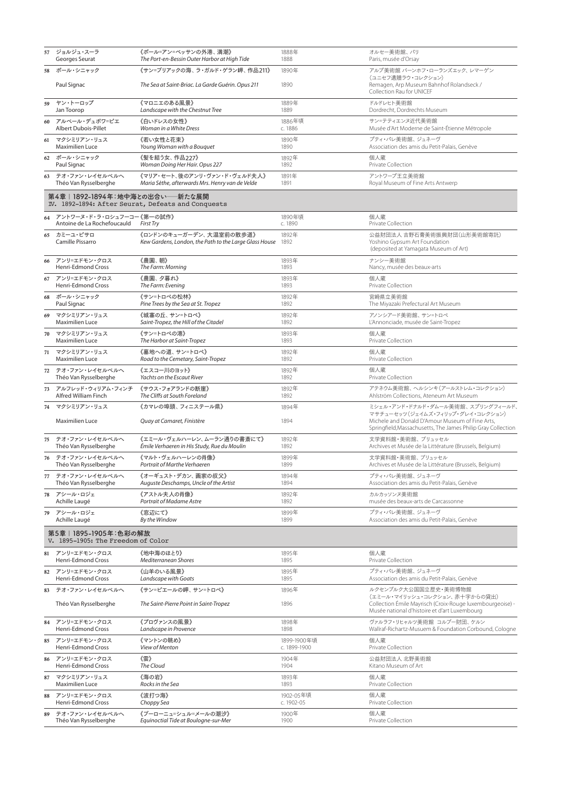|    | 57 ジョルジュ・スーラ                                                | 《ポール=アン=ベッサンの外港、満潮》                                                                    | 1888年             | オルセー美術館、パリ                                                                                                      |
|----|-------------------------------------------------------------|----------------------------------------------------------------------------------------|-------------------|-----------------------------------------------------------------------------------------------------------------|
|    | Georges Seurat                                              | The Port-en-Bessin Outer Harbor at High Tide                                           | 1888              | Paris, musée d'Orsay                                                                                            |
|    | 58 ポール・シニャック                                                | 《サン=ブリアックの海、ラ・ガルド・ゲラン岬、作品211》                                                          | 1890年             | アルプ美術館 バーンホフ・ローランズエック、レマーゲン<br>(ユニセフ遺贈ラウ・コレクション)                                                                |
|    | Paul Signac                                                 | The Sea at Saint-Briac. La Garde Guérin. Opus 211                                      | 1890              | Remagen, Arp Museum Bahnhof Rolandseck /<br>Collection Rau for UNICEF                                           |
| 59 | ヤン・トーロップ                                                    | 《マロニエのある風景》                                                                            | 1889年             | ドルドレヒト美術館                                                                                                       |
|    | Jan Toorop                                                  | Landscape with the Chestnut Tree                                                       | 1889              | Dordrecht, Dordrechts Museum                                                                                    |
| 60 | アルベール・デュボワ=ピエ                                               | 《白いドレスの女性》                                                                             | 1886年頃            | サン=テティエンヌ近代美術館                                                                                                  |
|    | Albert Dubois-Pillet                                        | Woman in a White Dress                                                                 | c. 1886           | Musée d'Art Moderne de Saint-Étienne Métropole                                                                  |
| 61 | マクシミリアン・リュス                                                 | 《若い女性と花束》                                                                              | 1890年             | プティ・パレ美術館、ジュネーヴ                                                                                                 |
|    | Maximilien Luce                                             | Young Woman with a Bouquet                                                             | 1890              | Association des amis du Petit-Palais, Genève                                                                    |
|    | 62 ポール・シニャック                                                | 《髪を結う女、作品227》                                                                          | 1892年             | 個人蔵                                                                                                             |
|    | Paul Signac                                                 | Woman Doing Her Hair. Opus 227                                                         | 1892              | Private Collection                                                                                              |
| 63 | テオ・ファン・レイセルベルへ                                              | 《マリア・セート、後のアンリ・ヴァン・ド・ヴェルド夫人》                                                           | 1891年             | アントワープ王立美術館                                                                                                     |
|    | Théo Van Rysselberghe                                       | Maria Sèthe, afterwards Mrs. Henry van de Velde                                        | 1891              | Royal Museum of Fine Arts Antwerp                                                                               |
|    | 第4章 1892-1894年:地中海との出合い──新たな展開                              | IV. 1892-1894: After Seurat, Defeats and Conquests                                     |                   |                                                                                                                 |
|    | 64 アントワーヌ・ド・ラ・ロシュフーコー《第一の試作》<br>Antoine de La Rochefoucauld | <b>First Try</b>                                                                       | 1890年頃<br>c. 1890 | 個人蔵<br>Private Collection                                                                                       |
| 65 | カミーユ・ピサロ<br>Camille Pissarro                                | 《ロンドンのキューガーデン、大温室前の散歩道》<br>Kew Gardens, London, the Path to the Large Glass House 1892 | 1892年             | 公益財団法人 吉野石膏美術振興財団(山形美術館寄託)<br>Yoshino Gypsum Art Foundation<br>(deposited at Yamagata Museum of Art)            |
| 66 | アンリ=エドモン・クロス                                                | 《農園、朝》                                                                                 | 1893年             | ナンシー美術館                                                                                                         |
|    | Henri-Edmond Cross                                          | The Farm: Morning                                                                      | 1893              | Nancy, musée des beaux-arts                                                                                     |
| 67 | アンリ=エドモン・クロス                                                | 《農園、夕暮れ》                                                                               | 1893年             | 個人蔵                                                                                                             |
|    | Henri-Edmond Cross                                          | The Farm: Evening                                                                      | 1893              | Private Collection                                                                                              |
| 68 | ポール・シニャック                                                   | 《サン=トロペの松林》                                                                            | 1892年             | 宮崎県立美術館                                                                                                         |
|    | Paul Signac                                                 | Pine Trees by the Sea at St. Tropez                                                    | 1892              | The Miyazaki Prefectural Art Museum                                                                             |
| 69 | マクシミリアン・リュス                                                 | 《城塞の丘、サン=トロペ》                                                                          | 1892年             | アノンシアード美術館、サン=トロペ                                                                                               |
|    | Maximilien Luce                                             | Saint-Tropez, the Hill of the Citadel                                                  | 1892              | L'Annonciade, musée de Saint-Tropez                                                                             |
| 70 | マクシミリアン・リュス                                                 | 《サン=トロぺの港》                                                                             | 1893年             | 個人蔵                                                                                                             |
|    | Maximilien Luce                                             | The Harbor at Saint-Tropez                                                             | 1893              | Private Collection                                                                                              |
| 71 | マクシミリアン・リュス                                                 | 《墓地への道、サン=トロペ》                                                                         | 1892年             | 個人蔵                                                                                                             |
|    | <b>Maximilien Luce</b>                                      | Road to the Cemetary, Saint-Tropez                                                     | 1892              | Private Collection                                                                                              |
| 72 | テオ・ファン・レイセルベルへ                                              | 《エスコー川のヨット》                                                                            | 1892年             | 個人蔵                                                                                                             |
|    | Théo Van Rysselberghe                                       | Yachts on the Escaut River                                                             | 1892              | Private Collection                                                                                              |
| 73 | アルフレッド・ウィリアム・フィンチ                                           | 《サウス・フォアランドの断崖》                                                                        | 1892年             | アテネウム美術館、ヘルシンキ(アールストレム・コレクション)                                                                                  |
|    | Alfred William Finch                                        | The Cliffs at South Foreland                                                           | 1892              | Ahlström Collections, Ateneum Art Museum                                                                        |
|    | 74 マクシミリアン・リュス                                              | 《カマレの埠頭、フィニステール県》                                                                      | 1894年             | ミシェル・アンド・ドナルド・ダムール美術館、スプリングフィールド、<br>マサチューセッツ(ジェイムズ・フィリップ・グレイ・コレクション)                                           |
|    | Maximilien Luce                                             | Quay at Camaret, Finistère                                                             | 1894              | Michele and Donald D'Amour Museum of Fine Arts,<br>Springfield, Massachusetts, The James Philip Gray Collection |
| 75 | テオ・ファン・レイセルベルへ                                              | 《エミール・ヴェルハーレン、ムーラン通りの書斎にて》                                                             | 1892年             | 文学資料館・美術館、ブリュッセル                                                                                                |
|    | Théo Van Rysselberghe                                       | Émile Verhaeren in His Study, Rue du Moulin                                            | 1892              | Archives et Musée de la Littérature (Brussels, Belgium)                                                         |
| 76 | テオ・ファン・レイセルベルへ                                              | 《マルト・ヴェルハーレンの肖像》                                                                       | 1899年             | 文学資料館・美術館、ブリュッセル                                                                                                |
|    | Théo Van Rysselberghe                                       | Portrait of Marthe Verhaeren                                                           | 1899              | Archives et Musée de la Littérature (Brussels, Belgium)                                                         |
| 77 | テオ・ファン・レイセルベルへ                                              | 《オーギュスト・デカン、画家の叔父》                                                                     | 1894年             | プティ・パレ美術館、ジュネーヴ                                                                                                 |
|    | Théo Van Rysselberghe                                       | Auguste Deschamps, Uncle of the Artist                                                 | 1894              | Association des amis du Petit-Palais, Genève                                                                    |
|    | 78 アシール・ロジェ                                                 | 《アストル夫人の肖像》                                                                            | 1892年             | カルカッソンヌ美術館                                                                                                      |
|    | Achille Laugé                                               | Portrait of Madame Astre                                                               | 1892              | musée des beaux-arts de Carcassonne                                                                             |
| 79 | アシール・ロジェ                                                    | 《窓辺にて》                                                                                 | 1899年             | プティ・パレ美術館、ジュネーヴ                                                                                                 |
|    | Achille Laugé                                               | By the Window                                                                          | 1899              | Association des amis du Petit-Palais, Genève                                                                    |
|    | 第5章 1895-1905年:色彩の解放<br>V. 1895-1905: The Freedom of Color  |                                                                                        |                   |                                                                                                                 |
|    | 81 アンリ=エドモン・クロス                                             | 《地中海のほとり》                                                                              | 1895年             | 個人蔵                                                                                                             |
|    | Henri-Edmond Cross                                          | Mediterranean Shores                                                                   | 1895              | Private Collection                                                                                              |
|    | 82 アンリ=エドモン・クロス                                             | 《山羊のいる風景》                                                                              | 1895年             | プティ・パレ美術館、ジュネーヴ                                                                                                 |
|    | Henri-Edmond Cross                                          | Landscape with Goats                                                                   | 1895              | Association des amis du Petit-Palais, Genève                                                                    |
| 83 | テオ・ファン・レイセルベルへ                                              | 《サン=ピエールの岬、サン=トロペ》                                                                     | 1896年             | ルクセンブルク大公国国立歴史・美術博物館<br>(エミール・マイリッシュ・コレクション、赤十字からの貸出)                                                           |
|    | Théo Van Rysselberghe                                       | The Saint-Pierre Point in Saint-Tropez                                                 | 1896              | Collection Émile Mayrisch (Croix-Rouge luxembourgeoise) -<br>Musée national d'histoire et d'art Luxembourg      |
| 84 | アンリ=エドモン・クロス                                                | 《プロヴァンスの風景》                                                                            | 1898年             | ヴァルラフ・リヒャルツ美術館 コルブー財団、ケルン                                                                                       |
|    | Henri-Edmond Cross                                          | Landscape in Provence                                                                  | 1898              | Wallraf-Richartz-Musuem & Foundation Corbound, Cologne                                                          |
| 85 | アンリ=エドモン・クロス                                                | 《マントンの眺め》                                                                              | 1899-1900年頃       | 個人蔵                                                                                                             |
|    | Henri-Edmond Cross                                          | View of Menton                                                                         | c. 1899-1900      | Private Collection                                                                                              |
| 86 | アンリ=エドモン・クロス                                                | 《雲》                                                                                    | 1904年             | 公益財団法人 北野美術館                                                                                                    |
|    | Henri-Edmond Cross                                          | The Cloud                                                                              | 1904              | Kitano Museum of Art                                                                                            |
| 87 | マクシミリアン・リュス                                                 | 《海の岩》                                                                                  | 1893年             | 個人蔵                                                                                                             |
|    | <b>Maximilien Luce</b>                                      | Rocks in the Sea                                                                       | 1893              | Private Collection                                                                                              |
| 88 | アンリ=エドモン・クロス                                                | 《波打つ海》                                                                                 | 1902-05年頃         | 個人蔵                                                                                                             |
|    | Henri-Edmond Cross                                          | Choppy Sea                                                                             | c. 1902-05        | Private Collection                                                                                              |
| 89 | テオ・ファン・レイセルベルへ                                              | 《ブーローニュ=シュル=メールの潮汐》                                                                    | 1900年             | 個人蔵                                                                                                             |
|    | Théo Van Rysselberghe                                       | Equinoctial Tide at Boulogne-sur-Mer                                                   | 1900              | Private Collection                                                                                              |